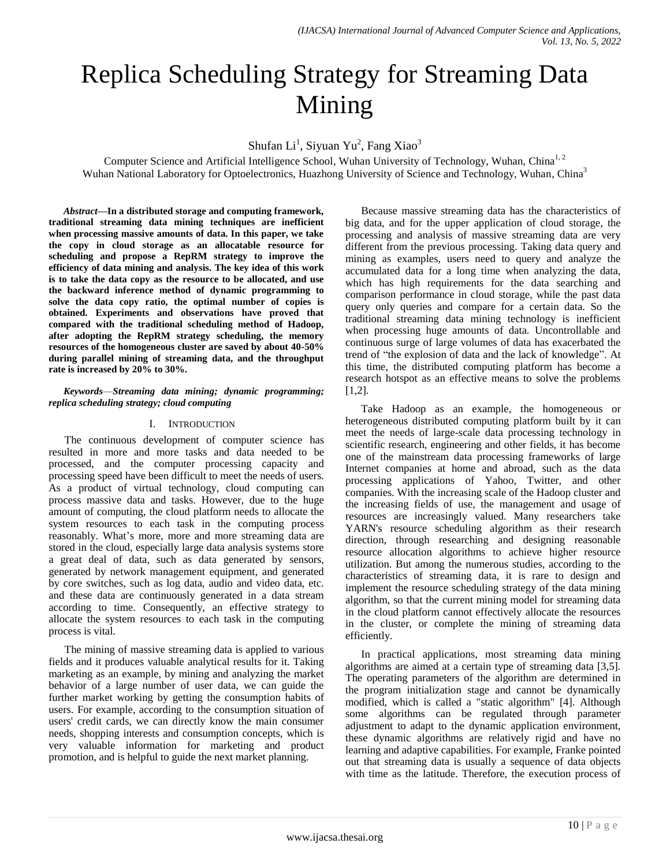# Replica Scheduling Strategy for Streaming Data Mining

Shufan Li<sup>1</sup>, Siyuan Yu<sup>2</sup>, Fang Xiao<sup>3</sup>

Computer Science and Artificial Intelligence School, Wuhan University of Technology, Wuhan, China<sup>1, 2</sup> Wuhan National Laboratory for Optoelectronics, Huazhong University of Science and Technology, Wuhan, China<sup>3</sup>

*Abstract—***In a distributed storage and computing framework, traditional streaming data mining techniques are inefficient when processing massive amounts of data. In this paper, we take the copy in cloud storage as an allocatable resource for scheduling and propose a RepRM strategy to improve the efficiency of data mining and analysis. The key idea of this work is to take the data copy as the resource to be allocated, and use the backward inference method of dynamic programming to solve the data copy ratio, the optimal number of copies is obtained. Experiments and observations have proved that compared with the traditional scheduling method of Hadoop, after adopting the RepRM strategy scheduling, the memory resources of the homogeneous cluster are saved by about 40-50% during parallel mining of streaming data, and the throughput rate is increased by 20% to 30%.**

*Keywords*—*Streaming data mining; dynamic programming; replica scheduling strategy; cloud computing*

# I. INTRODUCTION

The continuous development of computer science has resulted in more and more tasks and data needed to be processed, and the computer processing capacity and processing speed have been difficult to meet the needs of users. As a product of virtual technology, cloud computing can process massive data and tasks. However, due to the huge amount of computing, the cloud platform needs to allocate the system resources to each task in the computing process reasonably. What's more, more and more streaming data are stored in the cloud, especially large data analysis systems store a great deal of data, such as data generated by sensors, generated by network management equipment, and generated by core switches, such as log data, audio and video data, etc. and these data are continuously generated in a data stream according to time. Consequently, an effective strategy to allocate the system resources to each task in the computing process is vital.

The mining of massive streaming data is applied to various fields and it produces valuable analytical results for it. Taking marketing as an example, by mining and analyzing the market behavior of a large number of user data, we can guide the further market working by getting the consumption habits of users. For example, according to the consumption situation of users' credit cards, we can directly know the main consumer needs, shopping interests and consumption concepts, which is very valuable information for marketing and product promotion, and is helpful to guide the next market planning.

Because massive streaming data has the characteristics of big data, and for the upper application of cloud storage, the processing and analysis of massive streaming data are very different from the previous processing. Taking data query and mining as examples, users need to query and analyze the accumulated data for a long time when analyzing the data, which has high requirements for the data searching and comparison performance in cloud storage, while the past data query only queries and compare for a certain data. So the traditional streaming data mining technology is inefficient when processing huge amounts of data. Uncontrollable and continuous surge of large volumes of data has exacerbated the trend of "the explosion of data and the lack of knowledge". At this time, the distributed computing platform has become a research hotspot as an effective means to solve the problems [1,2].

Take Hadoop as an example, the homogeneous or heterogeneous distributed computing platform built by it can meet the needs of large-scale data processing technology in scientific research, engineering and other fields, it has become one of the mainstream data processing frameworks of large Internet companies at home and abroad, such as the data processing applications of Yahoo, Twitter, and other companies. With the increasing scale of the Hadoop cluster and the increasing fields of use, the management and usage of resources are increasingly valued. Many researchers take YARN's resource scheduling algorithm as their research direction, through researching and designing reasonable resource allocation algorithms to achieve higher resource utilization. But among the numerous studies, according to the characteristics of streaming data, it is rare to design and implement the resource scheduling strategy of the data mining algorithm, so that the current mining model for streaming data in the cloud platform cannot effectively allocate the resources in the cluster, or complete the mining of streaming data efficiently.

In practical applications, most streaming data mining algorithms are aimed at a certain type of streaming data [3,5]. The operating parameters of the algorithm are determined in the program initialization stage and cannot be dynamically modified, which is called a "static algorithm" [4]. Although some algorithms can be regulated through parameter adjustment to adapt to the dynamic application environment, these dynamic algorithms are relatively rigid and have no learning and adaptive capabilities. For example, Franke pointed out that streaming data is usually a sequence of data objects with time as the latitude. Therefore, the execution process of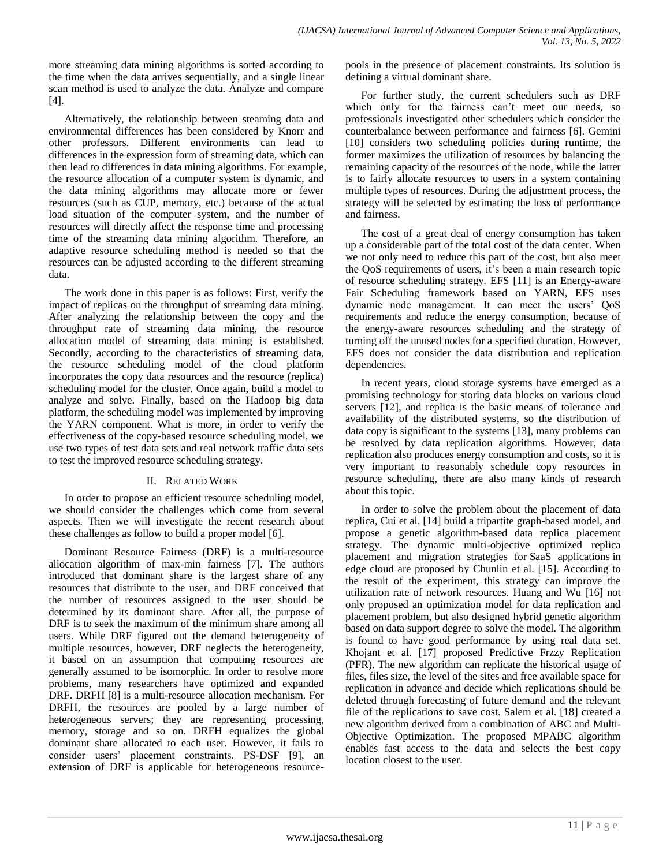more streaming data mining algorithms is sorted according to the time when the data arrives sequentially, and a single linear scan method is used to analyze the data. Analyze and compare [4].

Alternatively, the relationship between steaming data and environmental differences has been considered by Knorr and other professors. Different environments can lead to differences in the expression form of streaming data, which can then lead to differences in data mining algorithms. For example, the resource allocation of a computer system is dynamic, and the data mining algorithms may allocate more or fewer resources (such as CUP, memory, etc.) because of the actual load situation of the computer system, and the number of resources will directly affect the response time and processing time of the streaming data mining algorithm. Therefore, an adaptive resource scheduling method is needed so that the resources can be adjusted according to the different streaming data.

The work done in this paper is as follows: First, verify the impact of replicas on the throughput of streaming data mining. After analyzing the relationship between the copy and the throughput rate of streaming data mining, the resource allocation model of streaming data mining is established. Secondly, according to the characteristics of streaming data, the resource scheduling model of the cloud platform incorporates the copy data resources and the resource (replica) scheduling model for the cluster. Once again, build a model to analyze and solve. Finally, based on the Hadoop big data platform, the scheduling model was implemented by improving the YARN component. What is more, in order to verify the effectiveness of the copy-based resource scheduling model, we use two types of test data sets and real network traffic data sets to test the improved resource scheduling strategy.

# II. RELATED WORK

In order to propose an efficient resource scheduling model, we should consider the challenges which come from several aspects. Then we will investigate the recent research about these challenges as follow to build a proper model [6].

Dominant Resource Fairness (DRF) is a multi-resource allocation algorithm of max-min fairness [7]. The authors introduced that dominant share is the largest share of any resources that distribute to the user, and DRF conceived that the number of resources assigned to the user should be determined by its dominant share. After all, the purpose of DRF is to seek the maximum of the minimum share among all users. While DRF figured out the demand heterogeneity of multiple resources, however, DRF neglects the heterogeneity, it based on an assumption that computing resources are generally assumed to be isomorphic. In order to resolve more problems, many researchers have optimized and expanded DRF. DRFH [8] is a multi-resource allocation mechanism. For DRFH, the resources are pooled by a large number of heterogeneous servers; they are representing processing, memory, storage and so on. DRFH equalizes the global dominant share allocated to each user. However, it fails to consider users' placement constraints. PS-DSF [9], an extension of DRF is applicable for heterogeneous resourcepools in the presence of placement constraints. Its solution is defining a virtual dominant share.

For further study, the current schedulers such as DRF which only for the fairness can't meet our needs, so professionals investigated other schedulers which consider the counterbalance between performance and fairness [6]. Gemini [10] considers two scheduling policies during runtime, the former maximizes the utilization of resources by balancing the remaining capacity of the resources of the node, while the latter is to fairly allocate resources to users in a system containing multiple types of resources. During the adjustment process, the strategy will be selected by estimating the loss of performance and fairness.

The cost of a great deal of energy consumption has taken up a considerable part of the total cost of the data center. When we not only need to reduce this part of the cost, but also meet the QoS requirements of users, it's been a main research topic of resource scheduling strategy. EFS [11] is an Energy-aware Fair Scheduling framework based on YARN, EFS uses dynamic node management. It can meet the users' QoS requirements and reduce the energy consumption, because of the energy-aware resources scheduling and the strategy of turning off the unused nodes for a specified duration. However, EFS does not consider the data distribution and replication dependencies.

In recent years, cloud storage systems have emerged as a promising technology for storing data blocks on various cloud servers [12], and replica is the basic means of tolerance and availability of the distributed systems, so the distribution of data copy is significant to the systems [13], many problems can be resolved by data replication algorithms. However, data replication also produces energy consumption and costs, so it is very important to reasonably schedule copy resources in resource scheduling, there are also many kinds of research about this topic.

In order to solve the problem about the placement of data replica, Cui et al. [14] build a tripartite graph-based model, and propose a genetic algorithm-based data replica placement strategy. The dynamic multi-objective optimized replica placement and migration strategies for [SaaS applications](https://www.sciencedirect.com/topics/computer-science/saas-application) in edge cloud are proposed by Chunlin et al. [15]. According to the result of the experiment, this strategy can improve the utilization rate of network resources. Huang and Wu [16] not only proposed an optimization model for data replication and placement problem, but also designed hybrid genetic algorithm based on data support degree to solve the model. The algorithm is found to have good performance by using real data set. Khojant et al. [17] proposed Predictive Frzzy Replication (PFR). The new algorithm can replicate the historical usage of files, files size, the level of the sites and free available space for replication in advance and decide which replications should be deleted through forecasting of future demand and the relevant file of the replications to save cost. Salem et al. [18] created a new algorithm derived from a combination of ABC and Multi-Objective Optimization. The proposed MPABC algorithm enables fast access to the data and selects the best copy location closest to the user.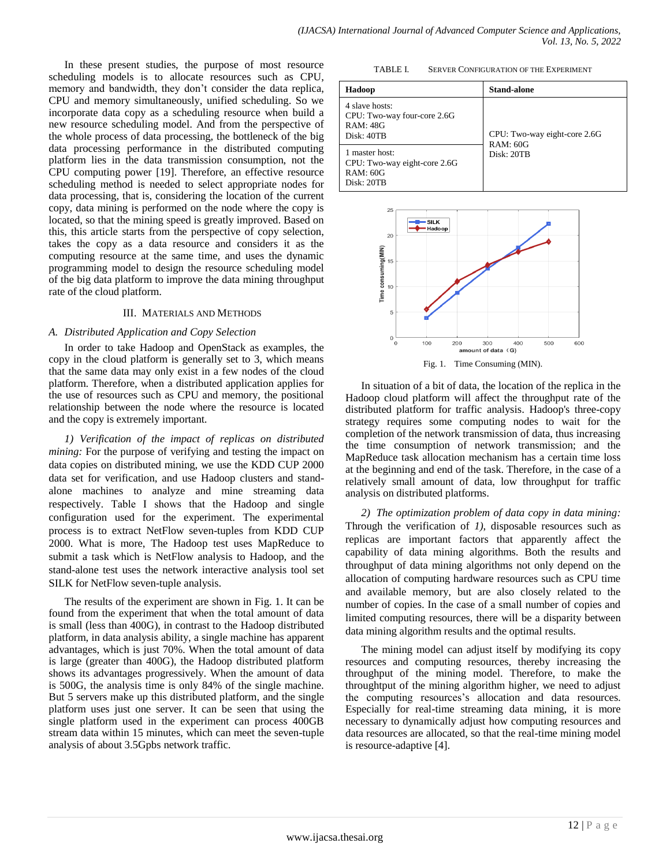In these present studies, the purpose of most resource scheduling models is to allocate resources such as CPU, memory and bandwidth, they don't consider the data replica, CPU and memory simultaneously, unified scheduling. So we incorporate data copy as a scheduling resource when build a new resource scheduling model. And from the perspective of the whole process of data processing, the bottleneck of the big data processing performance in the distributed computing platform lies in the data transmission consumption, not the CPU computing power [19]. Therefore, an effective resource scheduling method is needed to select appropriate nodes for data processing, that is, considering the location of the current copy, data mining is performed on the node where the copy is located, so that the mining speed is greatly improved. Based on this, this article starts from the perspective of copy selection, takes the copy as a data resource and considers it as the computing resource at the same time, and uses the dynamic programming model to design the resource scheduling model of the big data platform to improve the data mining throughput rate of the cloud platform.

## III. MATERIALS AND METHODS

## *A. Distributed Application and Copy Selection*

In order to take Hadoop and OpenStack as examples, the copy in the cloud platform is generally set to 3, which means that the same data may only exist in a few nodes of the cloud platform. Therefore, when a distributed application applies for the use of resources such as CPU and memory, the positional relationship between the node where the resource is located and the copy is extremely important.

*1) Verification of the impact of replicas on distributed mining:* For the purpose of verifying and testing the impact on data copies on distributed mining, we use the KDD CUP 2000 data set for verification, and use Hadoop clusters and standalone machines to analyze and mine streaming data respectively. Table Ⅰ shows that the Hadoop and single configuration used for the experiment. The experimental process is to extract NetFlow seven-tuples from KDD CUP 2000. What is more, The Hadoop test uses MapReduce to submit a task which is NetFlow analysis to Hadoop, and the stand-alone test uses the network interactive analysis tool set SILK for NetFlow seven-tuple analysis.

The results of the experiment are shown in Fig. 1. It can be found from the experiment that when the total amount of data is small (less than 400G), in contrast to the Hadoop distributed platform, in data analysis ability, a single machine has apparent advantages, which is just 70%. When the total amount of data is large (greater than 400G), the Hadoop distributed platform shows its advantages progressively. When the amount of data is 500G, the analysis time is only 84% of the single machine. But 5 servers make up this distributed platform, and the single platform uses just one server. It can be seen that using the single platform used in the experiment can process 400GB stream data within 15 minutes, which can meet the seven-tuple analysis of about 3.5Gpbs network traffic.

TABLE I. SERVER CONFIGURATION OF THE EXPERIMENT

| Hadoop                                                                          | <b>Stand-alone</b>                              |
|---------------------------------------------------------------------------------|-------------------------------------------------|
| 4 slave hosts:<br>CPU: Two-way four-core 2.6G<br>RAM: 48G<br>Disk: 40TB         | CPU: Two-way eight-core 2.6G<br><b>RAM: 60G</b> |
| 1 master host:<br>CPU: Two-way eight-core 2.6G<br><b>RAM: 60G</b><br>Disk: 20TB | Disk: 20TB                                      |



In situation of a bit of data, the location of the replica in the Hadoop cloud platform will affect the throughput rate of the distributed platform for traffic analysis. Hadoop's three-copy strategy requires some computing nodes to wait for the completion of the network transmission of data, thus increasing the time consumption of network transmission; and the MapReduce task allocation mechanism has a certain time loss at the beginning and end of the task. Therefore, in the case of a relatively small amount of data, low throughput for traffic analysis on distributed platforms.

*2) The optimization problem of data copy in data mining:* Through the verification of *1)*, disposable resources such as replicas are important factors that apparently affect the capability of data mining algorithms. Both the results and throughput of data mining algorithms not only depend on the allocation of computing hardware resources such as CPU time and available memory, but are also closely related to the number of copies. In the case of a small number of copies and limited computing resources, there will be a disparity between data mining algorithm results and the optimal results.

The mining model can adjust itself by modifying its copy resources and computing resources, thereby increasing the throughput of the mining model. Therefore, to make the throughtput of the mining algorithm higher, we need to adjust the computing resources's allocation and data resources. Especially for real-time streaming data mining, it is more necessary to dynamically adjust how computing resources and data resources are allocated, so that the real-time mining model is resource-adaptive [4].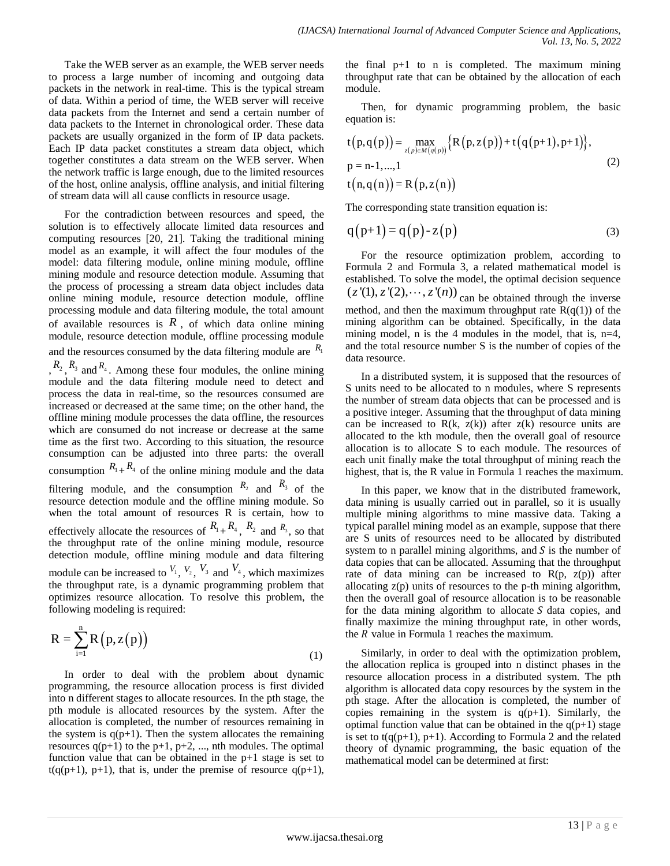Take the WEB server as an example, the WEB server needs to process a large number of incoming and outgoing data packets in the network in real-time. This is the typical stream of data. Within a period of time, the WEB server will receive data packets from the Internet and send a certain number of data packets to the Internet in chronological order. These data packets are usually organized in the form of IP data packets. Each IP data packet constitutes a stream data object, which together constitutes a data stream on the WEB server. When the network traffic is large enough, due to the limited resources of the host, online analysis, offline analysis, and initial filtering of stream data will all cause conflicts in resource usage.

For the contradiction between resources and speed, the solution is to effectively allocate limited data resources and computing resources [20, 21]. Taking the traditional mining model as an example, it will affect the four modules of the model: data filtering module, online mining module, offline mining module and resource detection module. Assuming that the process of processing a stream data object includes data online mining module, resource detection module, offline processing module and data filtering module, the total amount of available resources is  $R$ , of which data online mining module, resource detection module, offline processing module and the resources consumed by the data filtering module are  $R_1$  $, R_2, R_3$  and  $R_4$ . Among these four modules, the online mining module and the data filtering module need to detect and process the data in real-time, so the resources consumed are increased or decreased at the same time; on the other hand, the offline mining module processes the data offline, the resources which are consumed do not increase or decrease at the same time as the first two. According to this situation, the resource consumption can be adjusted into three parts: the overall consumption  $R_1 + R_4$  of the online mining module and the data filtering module, and the consumption  $R_2$  and  $R_3$  of the resource detection module and the offline mining module. So when the total amount of resources R is certain, how to effectively allocate the resources of  $R_1 + R_4$ ,  $R_2$  and  $R_3$ , so that the throughput rate of the online mining module, resource detection module, offline mining module and data filtering module can be increased to  $V_1$ ,  $V_2$ ,  $V_3$  and  $V_4$ , which maximizes the throughput rate, is a dynamic programming problem that optimizes resource allocation. To resolve this problem, the following modeling is required:

$$
R = \sum_{i=1}^{n} R\left(p, z(p)\right)
$$
 (1)

In order to deal with the problem about dynamic programming, the resource allocation process is first divided into n different stages to allocate resources. In the pth stage, the pth module is allocated resources by the system. After the allocation is completed, the number of resources remaining in the system is  $q(p+1)$ . Then the system allocates the remaining resources  $q(p+1)$  to the  $p+1$ ,  $p+2$ , ..., nth modules. The optimal function value that can be obtained in the p+1 stage is set to  $t(q(p+1), p+1)$ , that is, under the premise of resource  $q(p+1)$ ,

the final  $p+1$  to n is completed. The maximum mining throughput rate that can be obtained by the allocation of each module.

Then, for dynamic programming problem, the basic equation is:

equation is:  
\n
$$
t(p,q(p)) = \max_{z(p)\in M(q(p))} \{R(p,z(p)) + t(q(p+1), p+1)\},
$$
\n
$$
p = n-1, ..., 1
$$
\n
$$
t(n,q(n)) = R(p,z(n))
$$
\n(2)

The corresponding state transition equation is:

$$
q(p+1) = q(p) - z(p)
$$
\n(3)

For the resource optimization problem, according to Formula 2 and Formula 3, a related mathematical model is established. To solve the model, the optimal decision sequence  $(z'(1), z'(2), \dots, z'(n))$  can be obtained through the inverse method, and then the maximum throughput rate  $R(q(1))$  of the mining algorithm can be obtained. Specifically, in the data mining model, n is the 4 modules in the model, that is, n=4, and the total resource number S is the number of copies of the data resource.

In a distributed system, it is supposed that the resources of S units need to be allocated to n modules, where S represents the number of stream data objects that can be processed and is a positive integer. Assuming that the throughput of data mining can be increased to  $R(k, z(k))$  after  $z(k)$  resource units are allocated to the kth module, then the overall goal of resource allocation is to allocate S to each module. The resources of each unit finally make the total throughput of mining reach the highest, that is, the R value in Formula 1 reaches the maximum.

In this paper, we know that in the distributed framework, data mining is usually carried out in parallel, so it is usually multiple mining algorithms to mine massive data. Taking a typical parallel mining model as an example, suppose that there are S units of resources need to be allocated by distributed system to n parallel mining algorithms, and  $S$  is the number of data copies that can be allocated. Assuming that the throughput rate of data mining can be increased to  $R(p, z(p))$  after allocating z(p) units of resources to the p-th mining algorithm, then the overall goal of resource allocation is to be reasonable for the data mining algorithm to allocate  $S$  data copies, and finally maximize the mining throughput rate, in other words, the  *value in Formula 1 reaches the maximum.* 

Similarly, in order to deal with the optimization problem, the allocation replica is grouped into n distinct phases in the resource allocation process in a distributed system. The pth algorithm is allocated data copy resources by the system in the pth stage. After the allocation is completed, the number of copies remaining in the system is  $q(p+1)$ . Similarly, the optimal function value that can be obtained in the  $q(p+1)$  stage is set to  $t(q(p+1), p+1)$ . According to Formula 2 and the related theory of dynamic programming, the basic equation of the mathematical model can be determined at first: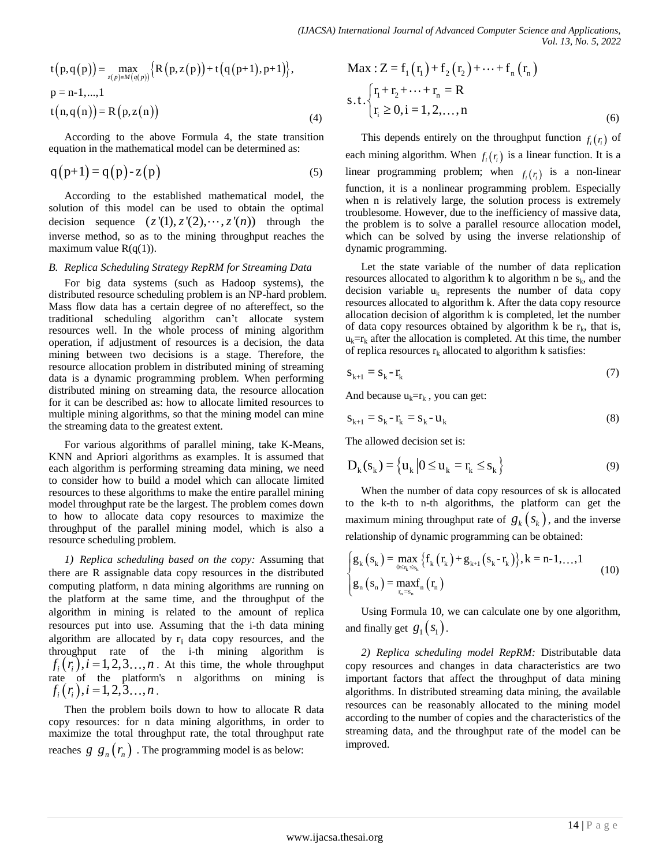$$
t(p,q(p)) = \max_{z(p)\in M(q(p))}\Big{R(p,z(p))+t(q(p+1),p+1)\Big},
$$
  
p = n-1,...,1  

$$
t(n,q(n)) = R(p,z(n))
$$
 (4)

According to the above Formula 4, the state transition equation in the mathematical model can be determined as:

$$
q(p+1) = q(p) - z(p)
$$
\n(5)

According to the established mathematical model, the solution of this model can be used to obtain the optimal decision sequence  $(z'(1), z'(2), \dots, z'(n))$  through the inverse method, so as to the mining throughput reaches the maximum value  $R(q(1))$ .

## *B. Replica Scheduling Strategy RepRM for Streaming Data*

For big data systems (such as Hadoop systems), the distributed resource scheduling problem is an NP-hard problem. Mass flow data has a certain degree of no aftereffect, so the traditional scheduling algorithm can't allocate system resources well. In the whole process of mining algorithm operation, if adjustment of resources is a decision, the data mining between two decisions is a stage. Therefore, the resource allocation problem in distributed mining of streaming data is a dynamic programming problem. When performing distributed mining on streaming data, the resource allocation for it can be described as: how to allocate limited resources to multiple mining algorithms, so that the mining model can mine the streaming data to the greatest extent.

For various algorithms of parallel mining, take K-Means, KNN and Apriori algorithms as examples. It is assumed that each algorithm is performing streaming data mining, we need to consider how to build a model which can allocate limited resources to these algorithms to make the entire parallel mining model throughput rate be the largest. The problem comes down to how to allocate data copy resources to maximize the throughput of the parallel mining model, which is also a resource scheduling problem.

*1) Replica scheduling based on the copy:* Assuming that there are R assignable data copy resources in the distributed computing platform, n data mining algorithms are running on the platform at the same time, and the throughput of the algorithm in mining is related to the amount of replica resources put into use. Assuming that the i-th data mining algorithm are allocated by  $r_i$  data copy resources, and the throughput rate of the i-th mining algorithm is  $f_i(r_i), i = 1,2,3...,n$ . At this time, the whole throughput rate of the platform's n algorithms on mining is  $f_i(r_i), i = 1, 2, 3, \ldots, n$ .

Then the problem boils down to how to allocate R data copy resources: for n data mining algorithms, in order to maximize the total throughput rate, the total throughput rate reaches  $g g_n(r_n)$ . The programming model is as below:

Max: 
$$
Z = f_1(r_1) + f_2(r_2) + \cdots + f_n(r_n)
$$
  
s.t. 
$$
\begin{cases} r_1 + r_2 + \cdots + r_n = R \\ r_i \ge 0, i = 1, 2, ..., n \end{cases}
$$
 (6)

This depends entirely on the throughput function  $f_i(r_i)$  of each mining algorithm. When  $f_i(r_i)$  is a linear function. It is a linear programming problem; when  $f_i(r_i)$  is a non-linear function, it is a nonlinear programming problem. Especially when n is relatively large, the solution process is extremely troublesome. However, due to the inefficiency of massive data, the problem is to solve a parallel resource allocation model, which can be solved by using the inverse relationship of dynamic programming.

Let the state variable of the number of data replication resources allocated to algorithm k to algorithm n be  $s_k$ , and the decision variable  $u_k$  represents the number of data copy resources allocated to algorithm k. After the data copy resource allocation decision of algorithm k is completed, let the number of data copy resources obtained by algorithm k be  $r_k$ , that is,  $u_k = r_k$  after the allocation is completed. At this time, the number of replica resources  $r_k$  allocated to algorithm k satisfies:

$$
\mathbf{s}_{k+1} = \mathbf{s}_k - \mathbf{r}_k \tag{7}
$$

And because  $u_k = r_k$ , you can get:

$$
\mathbf{s}_{k+1} = \mathbf{s}_k - \mathbf{r}_k = \mathbf{s}_k - \mathbf{u}_k \tag{8}
$$

The allowed decision set is:

$$
D_k(s_k) = \left\{ u_k \middle| 0 \le u_k = r_k \le s_k \right\}
$$
\n<sup>(9)</sup>

When the number of data copy resources of sk is allocated to the k-th to n-th algorithms, the platform can get the maximum mining throughput rate of  $g_k(s_k)$ , and the inverse

relationship of dynamic programming can be obtained:  
\n
$$
\begin{cases}\ng_k(s_k) = \max_{0 \leq r_k \leq s_k} \{f_k(r_k) + g_{k+1}(s_k - r_k)\}, k = n-1, ..., 1 \\
g_n(s_n) = \max_{r_n = s_n} f_n(r_n)\n\end{cases}
$$
\n(10)

Using Formula 10, we can calculate one by one algorithm, and finally get  $g_1(s_1)$ .

*2) Replica scheduling model RepRM:* Distributable data copy resources and changes in data characteristics are two important factors that affect the throughput of data mining algorithms. In distributed streaming data mining, the available resources can be reasonably allocated to the mining model according to the number of copies and the characteristics of the streaming data, and the throughput rate of the model can be improved.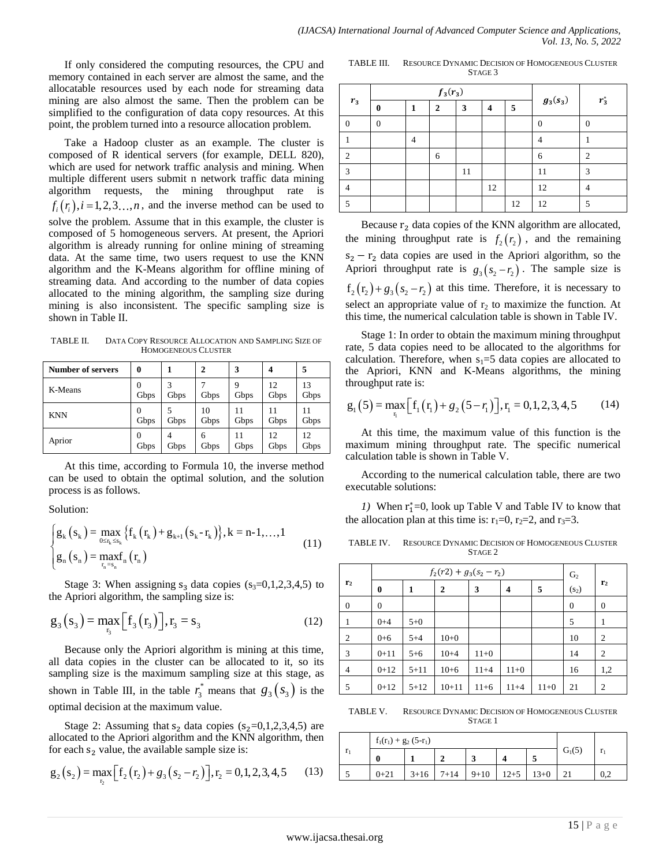If only considered the computing resources, the CPU and memory contained in each server are almost the same, and the allocatable resources used by each node for streaming data mining are also almost the same. Then the problem can be simplified to the configuration of data copy resources. At this point, the problem turned into a resource allocation problem.

Take a Hadoop cluster as an example. The cluster is composed of R identical servers (for example, DELL 820), which are used for network traffic analysis and mining. When multiple different users submit n network traffic data mining algorithm requests, the mining throughput rate is  $f_i(r_i), i = 1,2,3...,n$ , and the inverse method can be used to solve the problem. Assume that in this example, the cluster is composed of 5 homogeneous servers. At present, the Apriori algorithm is already running for online mining of streaming data. At the same time, two users request to use the KNN algorithm and the K-Means algorithm for offline mining of streaming data. And according to the number of data copies allocated to the mining algorithm, the sampling size during mining is also inconsistent. The specific sampling size is shown in Table Ⅱ.

TABLE II. DATA COPY RESOURCE ALLOCATION AND SAMPLING SIZE OF HOMOGENEOUS CLUSTER

| Number of servers | 0                      |           | $\mathbf{2}$ | 3          | $\boldsymbol{4}$ | 5          |
|-------------------|------------------------|-----------|--------------|------------|------------------|------------|
| K-Means           | 0<br>Gbps              | 3<br>Gbps | Gbps         | 9<br>Gbps  | 12<br>Gbps       | 13<br>Gbps |
| <b>KNN</b>        | $\Omega$<br>Gbps       | Gbps      | 10<br>Gbps   | 11<br>Gbps | 11<br>Gbps       | 11<br>Gbps |
| Aprior            | $\overline{0}$<br>Gbps | 4<br>Gbps | 6<br>Gbps    | 11<br>Gbps | 12<br>Gbps       | 12<br>Gbps |

At this time, according to Formula 10, the inverse method can be used to obtain the optimal solution, and the solution process is as follows.

Solution:

Solution:  
\n
$$
\begin{cases}\ng_k(s_k) = \max_{0 \le r_k \le s_k} \{f_k(r_k) + g_{k+1}(s_k - r_k)\}, k = n-1, \dots, 1 \\
g_n(s_n) = \max_{r_n = s_n} f_n(r_n)\n\end{cases}
$$
\n(11)

Stage 3: When assigning  $s_3$  data copies ( $s_3=0,1,2,3,4,5$ ) to the Apriori algorithm, the sampling size is:

$$
g_3(s_3) = \max_{r_3} [f_3(r_3)]
$$
,  $r_3 = s_3$  (12)

Because only the Apriori algorithm is mining at this time, all data copies in the cluster can be allocated to it, so its sampling size is the maximum sampling size at this stage, as shown in Table III, in the table  $r_3^*$  $r_3^*$  means that  $g_3$  ( $s_3$ ) is the optimal decision at the maximum value.

Stage 2: Assuming that  $s_2$  data copies ( $s_2=0,1,2,3,4,5$ ) are allocated to the Apriori algorithm and the KNN algorithm, then

for each s<sub>2</sub> value, the available sample size is:  
\n
$$
g_2(s_2) = \max_{r_2} [f_2(r_2) + g_3(s_2 - r_2)], r_2 = 0, 1, 2, 3, 4, 5
$$
 (13)

TABLE III. RESOURCE DYNAMIC DECISION OF HOMOGENEOUS CLUSTER STAGE 3

|                |   |   | $f_3(r_3)$   |    |    |    |            |                |  |
|----------------|---|---|--------------|----|----|----|------------|----------------|--|
| $r_3$          | 0 |   | $\mathbf{2}$ | 3  | 4  | 5  | $g_3(s_3)$ | $r_3^*$        |  |
|                | 0 |   |              |    |    |    |            |                |  |
|                |   | 4 |              |    |    |    |            |                |  |
| $\overline{2}$ |   |   | 6            |    |    |    | 6          | $\mathfrak{D}$ |  |
| 3              |   |   |              | 11 |    |    | 11         | 3              |  |
|                |   |   |              |    | 12 |    | 12         |                |  |
|                |   |   |              |    |    | 12 | 12         | 5              |  |

Because  $r_2$  data copies of the KNN algorithm are allocated, the mining throughput rate is  $f_2(r_2)$ , and the remaining  $s_2 - r_2$  data copies are used in the Apriori algorithm, so the Apriori throughput rate is  $g_3(s_2 - r_2)$ . The sample size is  $f_2(r_2) + g_3(s_2 - r_2)$  at this time. Therefore, it is necessary to select an appropriate value of  $r_2$  to maximize the function. At this time, the numerical calculation table is shown in Table Ⅳ.

Stage 1: In order to obtain the maximum mining throughput rate, 5 data copies need to be allocated to the algorithms for calculation. Therefore, when  $s_1=5$  data copies are allocated to the Apriori, KNN and K-Means algorithms, the mining throughput rate is:

throughput rate is:  
\n
$$
g_1(5) = \max_{r_1} [f_1(r_1) + g_2(5 - r_1)], r_1 = 0, 1, 2, 3, 4, 5
$$
 (14)

At this time, the maximum value of this function is the maximum mining throughput rate. The specific numerical calculation table is shown in Table Ⅴ.

According to the numerical calculation table, there are two executable solutions:

*1*) When  $r_1^* = 0$ , look up Table V and Table IV to know that the allocation plan at this time is:  $r_1=0$ ,  $r_2=2$ , and  $r_3=3$ .

| TABLE IV. | RESOURCE DYNAMIC DECISION OF HOMOGENEOUS CLUSTER |
|-----------|--------------------------------------------------|
|           | STAGE 2                                          |

|                | $f_2(r2) + g_3(s_2 - r_2)$ |          |              |          |          |        |                   |                |
|----------------|----------------------------|----------|--------------|----------|----------|--------|-------------------|----------------|
| r <sub>2</sub> | $\bf{0}$                   | 1        | $\mathbf{2}$ | 3        | 4        | 5      | (s <sub>2</sub> ) | r <sub>2</sub> |
| $\overline{0}$ | $\mathbf{0}$               |          |              |          |          |        | $\overline{0}$    | $\mathbf{0}$   |
| 1              | $0 + 4$                    | $5 + 0$  |              |          |          |        | 5                 | 1              |
| $\overline{2}$ | $0 + 6$                    | $5 + 4$  | $10+0$       |          |          |        | 10                | $\overline{2}$ |
| 3              | $0+11$                     | $5 + 6$  | $10 + 4$     | $11+0$   |          |        | 14                | 2              |
| $\overline{4}$ | $0+12$                     | $5 + 11$ | $10+6$       | $11 + 4$ | $11+0$   |        | 16                | 1,2            |
| 5              | $0+12$                     | $5 + 12$ | $10 + 11$    | $11+6$   | $11 + 4$ | $11+0$ | 21                | 2              |

TABLE V. RESOURCE DYNAMIC DECISION OF HOMOGENEOUS CLUSTER STAGE 1

|    | $f_1(r_1) + g_2(5-r_1)$ |          |          |        |          |        |          |              |
|----|-------------------------|----------|----------|--------|----------|--------|----------|--------------|
| r. | $\mathbf{0}$            |          | G        |        |          |        | $G_1(5)$ | $\mathbf{r}$ |
|    | $0+21$                  | $3 + 16$ | $7 + 14$ | $9+10$ | $12 + 5$ | $13+0$ |          | 0,2          |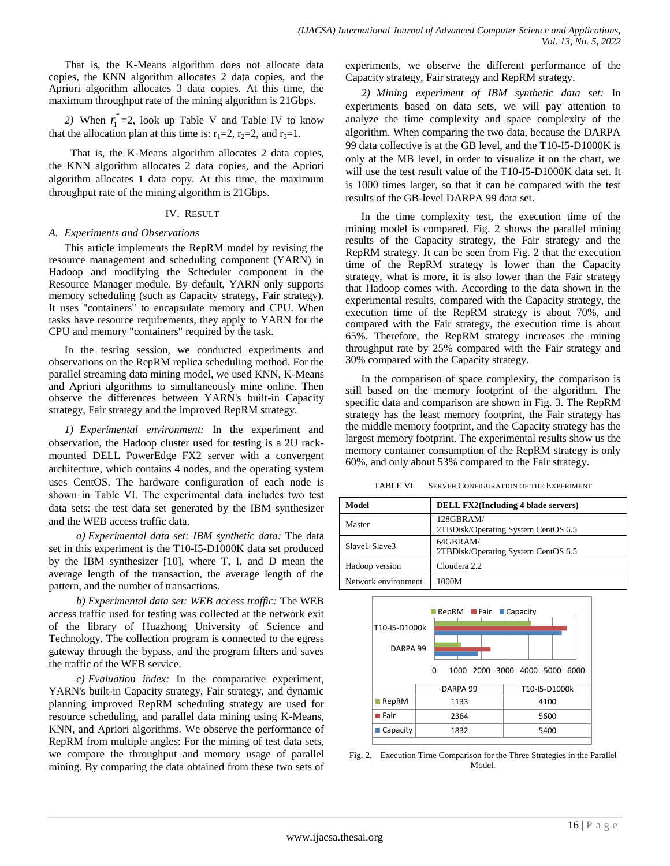That is, the K-Means algorithm does not allocate data copies, the KNN algorithm allocates 2 data copies, and the Apriori algorithm allocates 3 data copies. At this time, the maximum throughput rate of the mining algorithm is 21Gbps.

2) When  $r_i^*$  $r_1^*$  =2, look up Table V and Table IV to know that the allocation plan at this time is:  $r_1=2$ ,  $r_2=2$ , and  $r_3=1$ .

That is, the K-Means algorithm allocates 2 data copies, the KNN algorithm allocates 2 data copies, and the Apriori algorithm allocates 1 data copy. At this time, the maximum throughput rate of the mining algorithm is 21Gbps.

# IV. RESULT

# *A. Experiments and Observations*

This article implements the RepRM model by revising the resource management and scheduling component (YARN) in Hadoop and modifying the Scheduler component in the Resource Manager module. By default, YARN only supports memory scheduling (such as Capacity strategy, Fair strategy). It uses "containers" to encapsulate memory and CPU. When tasks have resource requirements, they apply to YARN for the CPU and memory "containers" required by the task.

In the testing session, we conducted experiments and observations on the RepRM replica scheduling method. For the parallel streaming data mining model, we used KNN, K-Means and Apriori algorithms to simultaneously mine online. Then observe the differences between YARN's built-in Capacity strategy, Fair strategy and the improved RepRM strategy.

*1) Experimental environment:* In the experiment and observation, the Hadoop cluster used for testing is a 2U rackmounted DELL PowerEdge FX2 server with a convergent architecture, which contains 4 nodes, and the operating system uses CentOS. The hardware configuration of each node is shown in Table Ⅵ. The experimental data includes two test data sets: the test data set generated by the IBM synthesizer and the WEB access traffic data.

*a) Experimental data set: IBM synthetic data:* The data set in this experiment is the T10-I5-D1000K data set produced by the IBM synthesizer [10], where T, I, and D mean the average length of the transaction, the average length of the pattern, and the number of transactions.

*b) Experimental data set: WEB access traffic:* The WEB access traffic used for testing was collected at the network exit of the library of Huazhong University of Science and Technology. The collection program is connected to the egress gateway through the bypass, and the program filters and saves the traffic of the WEB service.

*c) Evaluation index:* In the comparative experiment, YARN's built-in Capacity strategy, Fair strategy, and dynamic planning improved RepRM scheduling strategy are used for resource scheduling, and parallel data mining using K-Means, KNN, and Apriori algorithms. We observe the performance of RepRM from multiple angles: For the mining of test data sets, we compare the throughput and memory usage of parallel mining. By comparing the data obtained from these two sets of experiments, we observe the different performance of the Capacity strategy, Fair strategy and RepRM strategy.

*2) Mining experiment of IBM synthetic data set:* In experiments based on data sets, we will pay attention to analyze the time complexity and space complexity of the algorithm. When comparing the two data, because the DARPA 99 data collective is at the GB level, and the T10-I5-D1000K is only at the MB level, in order to visualize it on the chart, we will use the test result value of the T10-I5-D1000K data set. It is 1000 times larger, so that it can be compared with the test results of the GB-level DARPA 99 data set.

In the time complexity test, the execution time of the mining model is compared. Fig. 2 shows the parallel mining results of the Capacity strategy, the Fair strategy and the RepRM strategy. It can be seen from Fig. 2 that the execution time of the RepRM strategy is lower than the Capacity strategy, what is more, it is also lower than the Fair strategy that Hadoop comes with. According to the data shown in the experimental results, compared with the Capacity strategy, the execution time of the RepRM strategy is about 70%, and compared with the Fair strategy, the execution time is about 65%. Therefore, the RepRM strategy increases the mining throughput rate by 25% compared with the Fair strategy and 30% compared with the Capacity strategy.

In the comparison of space complexity, the comparison is still based on the memory footprint of the algorithm. The specific data and comparison are shown in Fig. 3. The RepRM strategy has the least memory footprint, the Fair strategy has the middle memory footprint, and the Capacity strategy has the largest memory footprint. The experimental results show us the memory container consumption of the RepRM strategy is only 60%, and only about 53% compared to the Fair strategy.

TABLE VI. SERVER CONFIGURATION OF THE EXPERIMENT

| Model               | <b>DELL FX2(Including 4 blade servers)</b>         |
|---------------------|----------------------------------------------------|
| Master              | 128GBRAM/<br>2TBDisk/Operating System CentOS 6.5   |
| Slave1-Slave3       | $64$ GBRAM/<br>2TBDisk/Operating System CentOS 6.5 |
| Hadoop version      | Cloudera 2.2                                       |
| Network environment | 1000M                                              |



Fig. 2. Execution Time Comparison for the Three Strategies in the Parallel Model.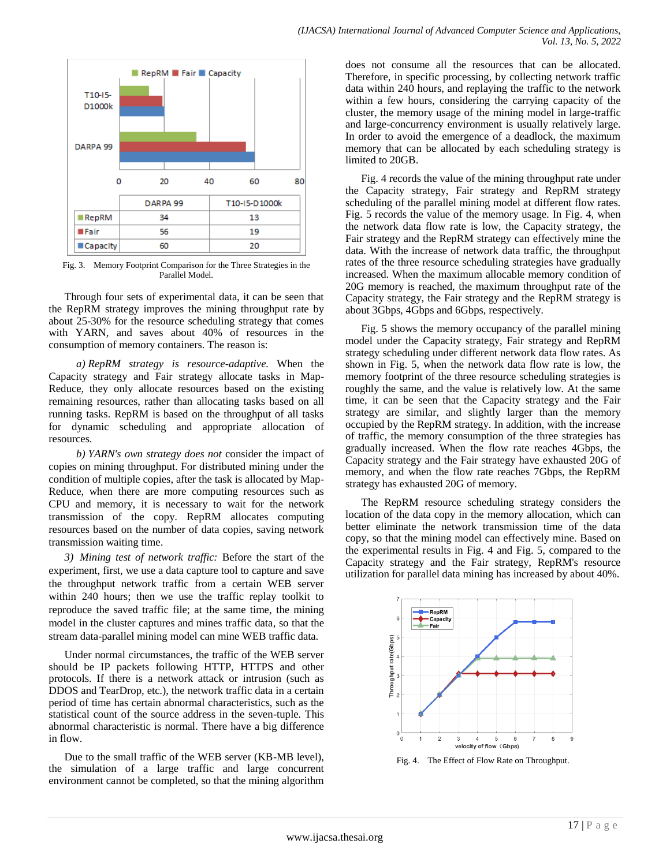

Fig. 3. Memory Footprint Comparison for the Three Strategies in the Parallel Model.

Through four sets of experimental data, it can be seen that the RepRM strategy improves the mining throughput rate by about 25-30% for the resource scheduling strategy that comes with YARN, and saves about 40% of resources in the consumption of memory containers. The reason is:

*a) RepRM strategy is resource-adaptive.* When the Capacity strategy and Fair strategy allocate tasks in Map-Reduce, they only allocate resources based on the existing remaining resources, rather than allocating tasks based on all running tasks. RepRM is based on the throughput of all tasks for dynamic scheduling and appropriate allocation of resources.

*b) YARN's own strategy does not* consider the impact of copies on mining throughput. For distributed mining under the condition of multiple copies, after the task is allocated by Map-Reduce, when there are more computing resources such as CPU and memory, it is necessary to wait for the network transmission of the copy. RepRM allocates computing resources based on the number of data copies, saving network transmission waiting time.

*3) Mining test of network traffic:* Before the start of the experiment, first, we use a data capture tool to capture and save the throughput network traffic from a certain WEB server within 240 hours; then we use the traffic replay toolkit to reproduce the saved traffic file; at the same time, the mining model in the cluster captures and mines traffic data, so that the stream data-parallel mining model can mine WEB traffic data.

Under normal circumstances, the traffic of the WEB server should be IP packets following HTTP, HTTPS and other protocols. If there is a network attack or intrusion (such as DDOS and TearDrop, etc.), the network traffic data in a certain period of time has certain abnormal characteristics, such as the statistical count of the source address in the seven-tuple. This abnormal characteristic is normal. There have a big difference in flow.

Due to the small traffic of the WEB server (KB-MB level), the simulation of a large traffic and large concurrent environment cannot be completed, so that the mining algorithm does not consume all the resources that can be allocated. Therefore, in specific processing, by collecting network traffic data within 240 hours, and replaying the traffic to the network within a few hours, considering the carrying capacity of the cluster, the memory usage of the mining model in large-traffic and large-concurrency environment is usually relatively large. In order to avoid the emergence of a deadlock, the maximum memory that can be allocated by each scheduling strategy is limited to 20GB.

Fig. 4 records the value of the mining throughput rate under the Capacity strategy, Fair strategy and RepRM strategy scheduling of the parallel mining model at different flow rates. Fig. 5 records the value of the memory usage. In Fig. 4, when the network data flow rate is low, the Capacity strategy, the Fair strategy and the RepRM strategy can effectively mine the data. With the increase of network data traffic, the throughput rates of the three resource scheduling strategies have gradually increased. When the maximum allocable memory condition of 20G memory is reached, the maximum throughput rate of the Capacity strategy, the Fair strategy and the RepRM strategy is about 3Gbps, 4Gbps and 6Gbps, respectively.

Fig. 5 shows the memory occupancy of the parallel mining model under the Capacity strategy, Fair strategy and RepRM strategy scheduling under different network data flow rates. As shown in Fig. 5, when the network data flow rate is low, the memory footprint of the three resource scheduling strategies is roughly the same, and the value is relatively low. At the same time, it can be seen that the Capacity strategy and the Fair strategy are similar, and slightly larger than the memory occupied by the RepRM strategy. In addition, with the increase of traffic, the memory consumption of the three strategies has gradually increased. When the flow rate reaches 4Gbps, the Capacity strategy and the Fair strategy have exhausted 20G of memory, and when the flow rate reaches 7Gbps, the RepRM strategy has exhausted 20G of memory.

The RepRM resource scheduling strategy considers the location of the data copy in the memory allocation, which can better eliminate the network transmission time of the data copy, so that the mining model can effectively mine. Based on the experimental results in Fig. 4 and Fig. 5, compared to the Capacity strategy and the Fair strategy, RepRM's resource utilization for parallel data mining has increased by about 40%.



Fig. 4. The Effect of Flow Rate on Throughput.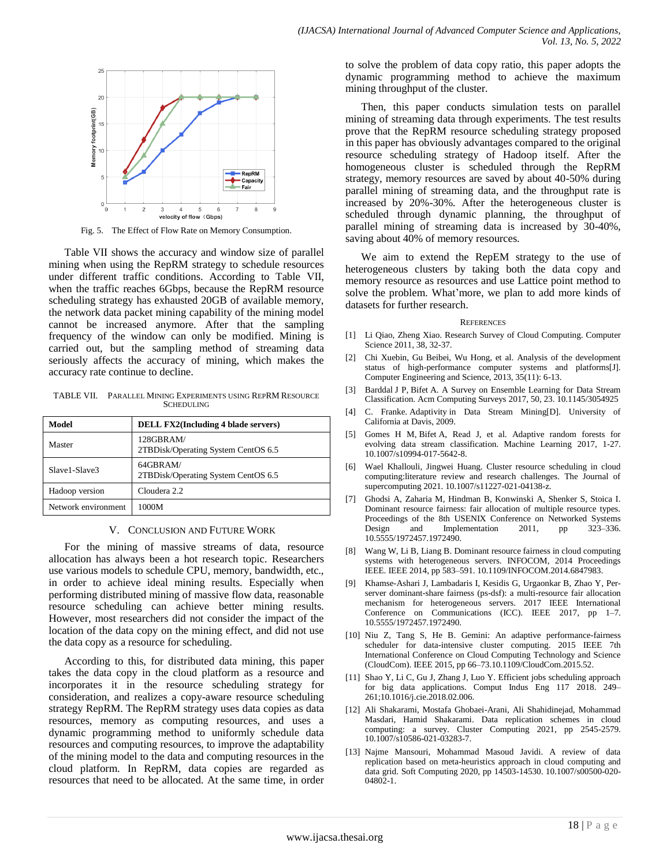

Fig. 5. The Effect of Flow Rate on Memory Consumption.

Table VII shows the accuracy and window size of parallel mining when using the RepRM strategy to schedule resources under different traffic conditions. According to Table Ⅶ, when the traffic reaches 6Gbps, because the RepRM resource scheduling strategy has exhausted 20GB of available memory, the network data packet mining capability of the mining model cannot be increased anymore. After that the sampling frequency of the window can only be modified. Mining is carried out, but the sampling method of streaming data seriously affects the accuracy of mining, which makes the accuracy rate continue to decline.

TABLE VII. PARALLEL MINING EXPERIMENTS USING REPRM RESOURCE **SCHEDULING** 

| Model               | <b>DELL FX2(Including 4 blade servers)</b>         |
|---------------------|----------------------------------------------------|
| Master              | 128GBRAM/<br>2TBDisk/Operating System CentOS 6.5   |
| Slave1-Slave3       | $64$ GBRAM/<br>2TBDisk/Operating System CentOS 6.5 |
| Hadoop version      | Cloudera 2.2                                       |
| Network environment | 1000M                                              |

#### V. CONCLUSION AND FUTURE WORK

For the mining of massive streams of data, resource allocation has always been a hot research topic. Researchers use various models to schedule CPU, memory, bandwidth, etc., in order to achieve ideal mining results. Especially when performing distributed mining of massive flow data, reasonable resource scheduling can achieve better mining results. However, most researchers did not consider the impact of the location of the data copy on the mining effect, and did not use the data copy as a resource for scheduling.

According to this, for distributed data mining, this paper takes the data copy in the cloud platform as a resource and incorporates it in the resource scheduling strategy for consideration, and realizes a copy-aware resource scheduling strategy RepRM. The RepRM strategy uses data copies as data resources, memory as computing resources, and uses a dynamic programming method to uniformly schedule data resources and computing resources, to improve the adaptability of the mining model to the data and computing resources in the cloud platform. In RepRM, data copies are regarded as resources that need to be allocated. At the same time, in order to solve the problem of data copy ratio, this paper adopts the dynamic programming method to achieve the maximum mining throughput of the cluster.

Then, this paper conducts simulation tests on parallel mining of streaming data through experiments. The test results prove that the RepRM resource scheduling strategy proposed in this paper has obviously advantages compared to the original resource scheduling strategy of Hadoop itself. After the homogeneous cluster is scheduled through the RepRM strategy, memory resources are saved by about 40-50% during parallel mining of streaming data, and the throughput rate is increased by 20%-30%. After the heterogeneous cluster is scheduled through dynamic planning, the throughput of parallel mining of streaming data is increased by 30-40%, saving about 40% of memory resources.

We aim to extend the RepEM strategy to the use of heterogeneous clusters by taking both the data copy and memory resource as resources and use Lattice point method to solve the problem. What'more, we plan to add more kinds of datasets for further research.

#### **REFERENCES**

- [1] Li Qiao, Zheng Xiao. Research Survey of Cloud Computing. Computer Science 2011, 38, 32-37.
- [2] Chi Xuebin, Gu Beibei, Wu Hong, et al. Analysis of the development status of high-performance computer systems and platforms[J]. Computer Engineering and Science, 2013, 35(11): 6-13.
- [3] Barddal J P, Bifet A. A Survey on Ensemble Learning for Data Stream Classification. Acm Computing Surveys 2017, 50, 23. 10.1145/3054925
- [4] C. Franke. Adaptivity in Data Stream Mining[D]. University of California at Davis, 2009.
- [5] Gomes H M, Bifet A, Read J, et al. Adaptive random forests for evolving data stream classification. Machine Learning 2017, 1-27. 10.1007/s10994-017-5642-8.
- [6] Wael Khallouli, Jingwei Huang. Cluster resource scheduling in cloud computing:literature review and research challenges. The Journal of supercomputing 2021[. 10.1007/s11227-021-04138-z.](https://link.springer.com/article/10.1007/s11227-021-04138-z)
- [7] Ghodsi A, Zaharia M, Hindman B, Konwinski A, Shenker S, Stoica I. Dominant resource fairness: fair allocation of multiple resource types. Proceedings of the 8th USENIX Conference on Networked Systems<br>Design and Implementation 2011, pp 323–336. Design and Implementation 2011, pp 10.5555/1972457.1972490.
- [8] Wang W, Li B, Liang B. Dominant resource fairness in cloud computing systems with heterogeneous servers. INFOCOM, 2014 Proceedings IEEE. IEEE 2014, pp 583–591[. 10.1109/INFOCOM.2014.6847983.](https://doi.org/10.1109/INFOCOM.2014.6847983)
- [9] Khamse-Ashari J, Lambadaris I, Kesidis G, Urgaonkar B, Zhao Y, Perserver dominant-share fairness (ps-dsf): a multi-resource fair allocation mechanism for heterogeneous servers. 2017 IEEE International Conference on Communications (ICC). IEEE 2017, pp 1–7. 10.5555/1972457.1972490.
- [10] Niu Z, Tang S, He B. Gemini: An adaptive performance-fairness scheduler for data-intensive cluster computing. 2015 IEEE 7th International Conference on Cloud Computing Technology and Science (CloudCom). IEEE 2015, pp 66–7[3.10.1109/CloudCom.2015.52.](https://doi.org/10.1109/CloudCom.2015.52)
- [11] Shao Y, Li C, Gu J, Zhang J, Luo Y. Efficient jobs scheduling approach for big data applications. Comput Indus Eng 117 2018. 249– 261[;10.1016/j.cie.2018.02.006.](https://doi.org/10.1016/j.cie.2018.02.006)
- [12] Ali Shakarami, Mostafa Ghobaei-Arani, Ali Shahidinejad, Mohammad Masdari, Hamid Shakarami. Data replication schemes in cloud computing: a survey. Cluster Computing 2021, pp 2545-2579. [10.1007/s10586-021-03283-7.](https://link.springer.com/article/10.1007/s10586-021-03283-7)
- [13] Najme Mansouri, Mohammad Masoud Javidi. A review of data replication based on meta-heuristics approach in cloud computing and data grid. Soft Computing 2020, pp 14503-14530. 10.1007/s00500-020- 04802-1.